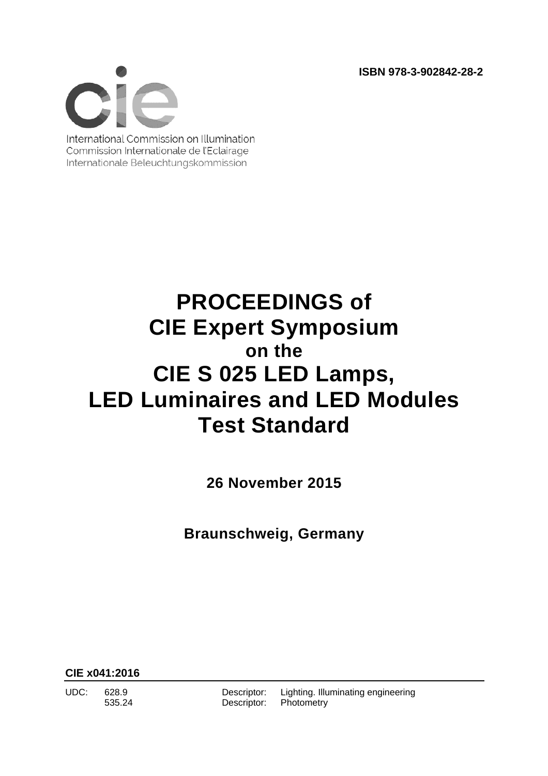**ISBN 978-3-902842-28-2** 



International Commission on Illumination Commission Internationale de l'Eclairage Internationale Beleuchtungskommission

## **PROCEEDINGS of CIE Expert Symposium on the CIE S 025 LED Lamps, LED Luminaires and LED Modules Test Standard**

**26 November 2015** 

**Braunschweig, Germany** 

**CIE x041:2016**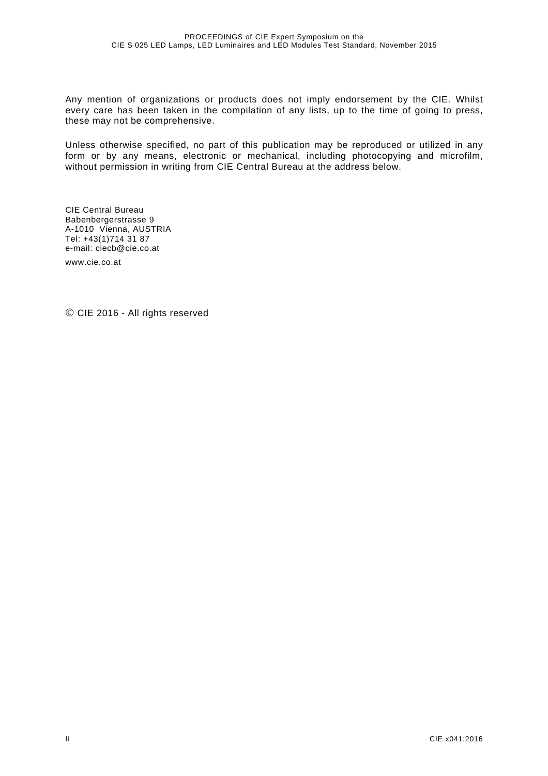Any mention of organizations or products does not imply endorsement by the CIE. Whilst every care has been taken in the compilation of any lists, up to the time of going to press, these may not be comprehensive.

Unless otherwise specified, no part of this publication may be reproduced or utilized in any form or by any means, electronic or mechanical, including photocopying and microfilm, without permission in writing from CIE Central Bureau at the address below.

CIE Central Bureau Babenbergerstrasse 9 A-1010 Vienna, AUSTRIA Tel: +43(1)714 31 87 e-mail: ciecb@cie.co.at www.cie.co.at

© CIE 2016 - All rights reserved